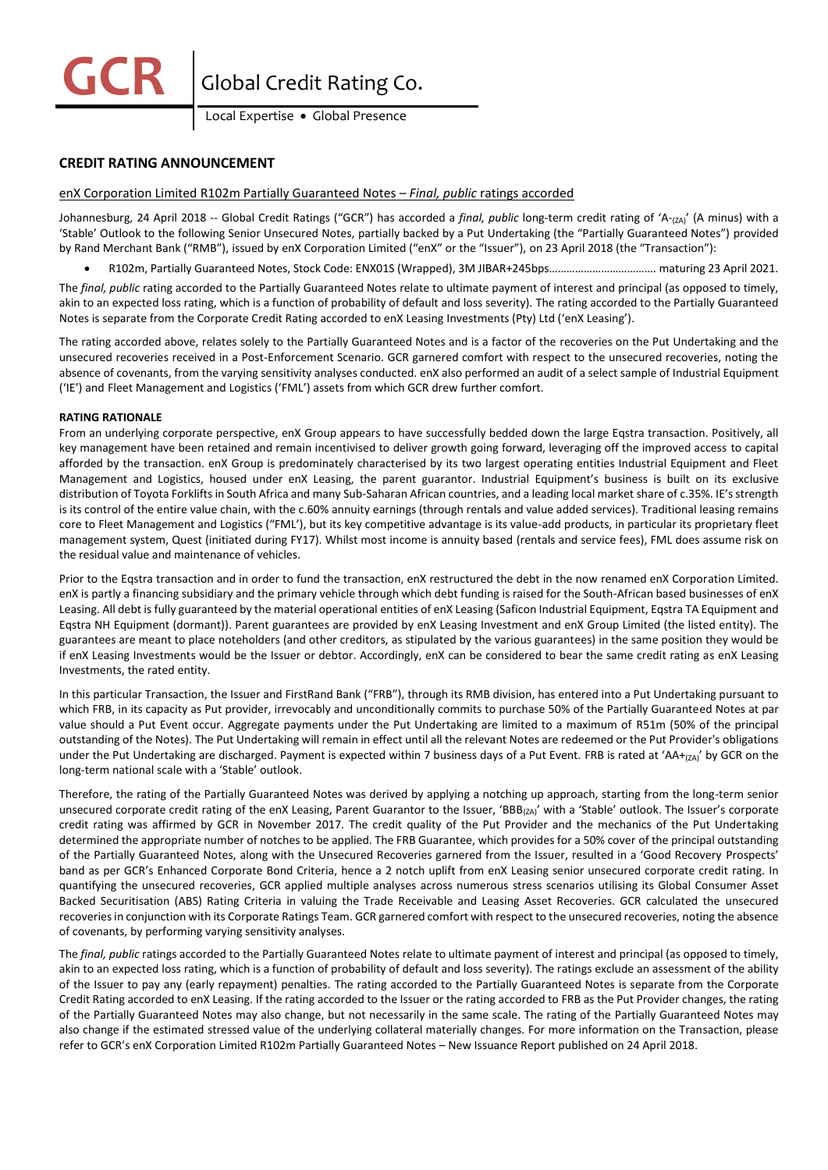**Global Credit Rating Co.** 

Local Expertise • Global Presence

# **CREDIT RATING ANNOUNCEMENT**

# enX Corporation Limited R102m Partially Guaranteed Notes – *Final, public* ratings accorded

Johannesburg, 24 April 2018 -- Global Credit Ratings ("GCR") has accorded a *final, public* long-term credit rating of 'A-<sub>(ZA)</sub>' (A minus) with a 'Stable' Outlook to the following Senior Unsecured Notes, partially backed by a Put Undertaking (the "Partially Guaranteed Notes") provided by Rand Merchant Bank ("RMB"), issued by enX Corporation Limited ("enX" or the "Issuer"), on 23 April 2018 (the "Transaction"):

• R102m, Partially Guaranteed Notes, Stock Code: ENX01S (Wrapped), 3M JIBAR+245bps………………………………. maturing 23 April 2021.

The *final, public* rating accorded to the Partially Guaranteed Notes relate to ultimate payment of interest and principal (as opposed to timely, akin to an expected loss rating, which is a function of probability of default and loss severity). The rating accorded to the Partially Guaranteed Notes is separate from the Corporate Credit Rating accorded to enX Leasing Investments (Pty) Ltd ('enX Leasing').

The rating accorded above, relates solely to the Partially Guaranteed Notes and is a factor of the recoveries on the Put Undertaking and the unsecured recoveries received in a Post-Enforcement Scenario. GCR garnered comfort with respect to the unsecured recoveries, noting the absence of covenants, from the varying sensitivity analyses conducted. enX also performed an audit of a select sample of Industrial Equipment ('IE') and Fleet Management and Logistics ('FML') assets from which GCR drew further comfort.

## **RATING RATIONALE**

From an underlying corporate perspective, enX Group appears to have successfully bedded down the large Eqstra transaction. Positively, all key management have been retained and remain incentivised to deliver growth going forward, leveraging off the improved access to capital afforded by the transaction. enX Group is predominately characterised by its two largest operating entities Industrial Equipment and Fleet Management and Logistics, housed under enX Leasing, the parent guarantor. Industrial Equipment's business is built on its exclusive distribution of Toyota Forklifts in South Africa and many Sub-Saharan African countries, and a leading local market share of c.35%. IE's strength is its control of the entire value chain, with the c.60% annuity earnings (through rentals and value added services). Traditional leasing remains core to Fleet Management and Logistics ("FML'), but its key competitive advantage is its value-add products, in particular its proprietary fleet management system, Quest (initiated during FY17). Whilst most income is annuity based (rentals and service fees), FML does assume risk on the residual value and maintenance of vehicles.

Prior to the Eqstra transaction and in order to fund the transaction, enX restructured the debt in the now renamed enX Corporation Limited. enX is partly a financing subsidiary and the primary vehicle through which debt funding is raised for the South-African based businesses of enX Leasing. All debt is fully guaranteed by the material operational entities of enX Leasing (Saficon Industrial Equipment, Eqstra TA Equipment and Eqstra NH Equipment (dormant)). Parent guarantees are provided by enX Leasing Investment and enX Group Limited (the listed entity). The guarantees are meant to place noteholders (and other creditors, as stipulated by the various guarantees) in the same position they would be if enX Leasing Investments would be the Issuer or debtor. Accordingly, enX can be considered to bear the same credit rating as enX Leasing Investments, the rated entity.

In this particular Transaction, the Issuer and FirstRand Bank ("FRB"), through its RMB division, has entered into a Put Undertaking pursuant to which FRB, in its capacity as Put provider, irrevocably and unconditionally commits to purchase 50% of the Partially Guaranteed Notes at par value should a Put Event occur. Aggregate payments under the Put Undertaking are limited to a maximum of R51m (50% of the principal outstanding of the Notes). The Put Undertaking will remain in effect until all the relevant Notes are redeemed or the Put Provider's obligations under the Put Undertaking are discharged. Payment is expected within 7 business days of a Put Event. FRB is rated at 'AA+(zA)' by GCR on the long-term national scale with a 'Stable' outlook.

Therefore, the rating of the Partially Guaranteed Notes was derived by applying a notching up approach, starting from the long-term senior unsecured corporate credit rating of the enX Leasing, Parent Guarantor to the Issuer, 'BBB<sub>(ZA)</sub>' with a 'Stable' outlook. The Issuer's corporate credit rating was affirmed by GCR in November 2017. The credit quality of the Put Provider and the mechanics of the Put Undertaking determined the appropriate number of notches to be applied. The FRB Guarantee, which provides for a 50% cover of the principal outstanding of the Partially Guaranteed Notes, along with the Unsecured Recoveries garnered from the Issuer, resulted in a 'Good Recovery Prospects' band as per GCR's Enhanced Corporate Bond Criteria, hence a 2 notch uplift from enX Leasing senior unsecured corporate credit rating. In quantifying the unsecured recoveries, GCR applied multiple analyses across numerous stress scenarios utilising its Global Consumer Asset Backed Securitisation (ABS) Rating Criteria in valuing the Trade Receivable and Leasing Asset Recoveries. GCR calculated the unsecured recoveries in conjunction with its Corporate Ratings Team. GCR garnered comfort with respect to the unsecured recoveries, noting the absence of covenants, by performing varying sensitivity analyses.

The *final, public* ratings accorded to the Partially Guaranteed Notes relate to ultimate payment of interest and principal (as opposed to timely, akin to an expected loss rating, which is a function of probability of default and loss severity). The ratings exclude an assessment of the ability of the Issuer to pay any (early repayment) penalties. The rating accorded to the Partially Guaranteed Notes is separate from the Corporate Credit Rating accorded to enX Leasing. If the rating accorded to the Issuer or the rating accorded to FRB as the Put Provider changes, the rating of the Partially Guaranteed Notes may also change, but not necessarily in the same scale. The rating of the Partially Guaranteed Notes may also change if the estimated stressed value of the underlying collateral materially changes. For more information on the Transaction, please refer to GCR's enX Corporation Limited R102m Partially Guaranteed Notes – New Issuance Report published on 24 April 2018.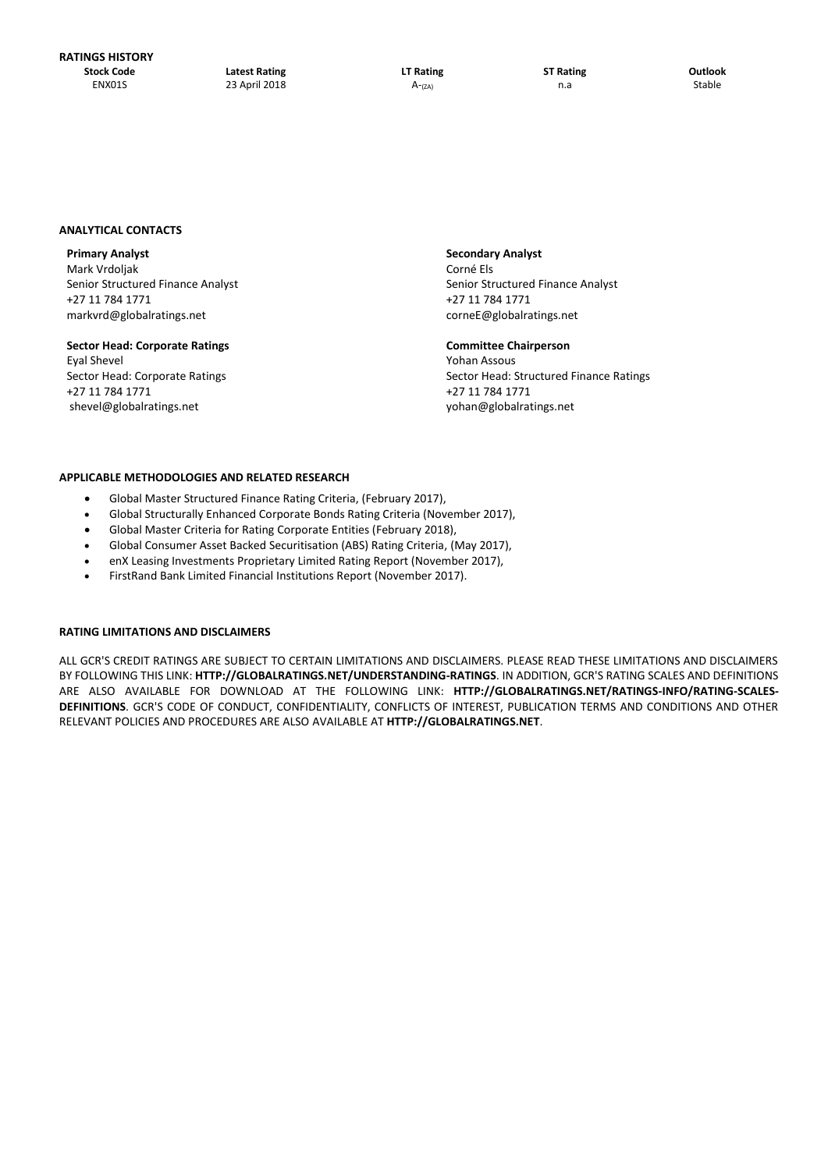### **ANALYTICAL CONTACTS**

Mark Vrdoljak **Corné Else** Senior Structured Finance Analyst Senior Structured Finance Analyst Senior Structured Finance Analyst +27 11 784 1771 +27 11 784 1771 markvrd@globalratings.net example and cornest corneE@globalratings.net

# **Sector Head: Corporate Ratings Committee Chairperson** Eyal Shevel Yohan Assous +27 11 784 1771 +27 11 784 1771 shevel@globalratings.net [yohan@globalratings.net](mailto:yohan@globalratings.net)

**Primary Analyst Secondary Analyst**

Sector Head: Corporate Ratings Sector Head: Structured Finance Ratings Sector Head: Structured Finance Ratings

### **APPLICABLE METHODOLOGIES AND RELATED RESEARCH**

- Global Master Structured Finance Rating Criteria, (February 2017),
- Global Structurally Enhanced Corporate Bonds Rating Criteria (November 2017),
- Global Master Criteria for Rating Corporate Entities (February 2018),
- Global Consumer Asset Backed Securitisation (ABS) Rating Criteria, (May 2017),
- enX Leasing Investments Proprietary Limited Rating Report (November 2017),
- FirstRand Bank Limited Financial Institutions Report (November 2017).

### **RATING LIMITATIONS AND DISCLAIMERS**

ALL GCR'S CREDIT RATINGS ARE SUBJECT TO CERTAIN LIMITATIONS AND DISCLAIMERS. PLEASE READ THESE LIMITATIONS AND DISCLAIMERS BY FOLLOWING THIS LINK: **HTTP://GLOBALRATINGS.NET/UNDERSTANDING-RATINGS**. IN ADDITION, GCR'S RATING SCALES AND DEFINITIONS ARE ALSO AVAILABLE FOR DOWNLOAD AT THE FOLLOWING LINK: **HTTP://GLOBALRATINGS.NET/RATINGS-INFO/RATING-SCALES-DEFINITIONS**. GCR'S CODE OF CONDUCT, CONFIDENTIALITY, CONFLICTS OF INTEREST, PUBLICATION TERMS AND CONDITIONS AND OTHER RELEVANT POLICIES AND PROCEDURES ARE ALSO AVAILABLE AT **HTTP://GLOBALRATINGS.NET**.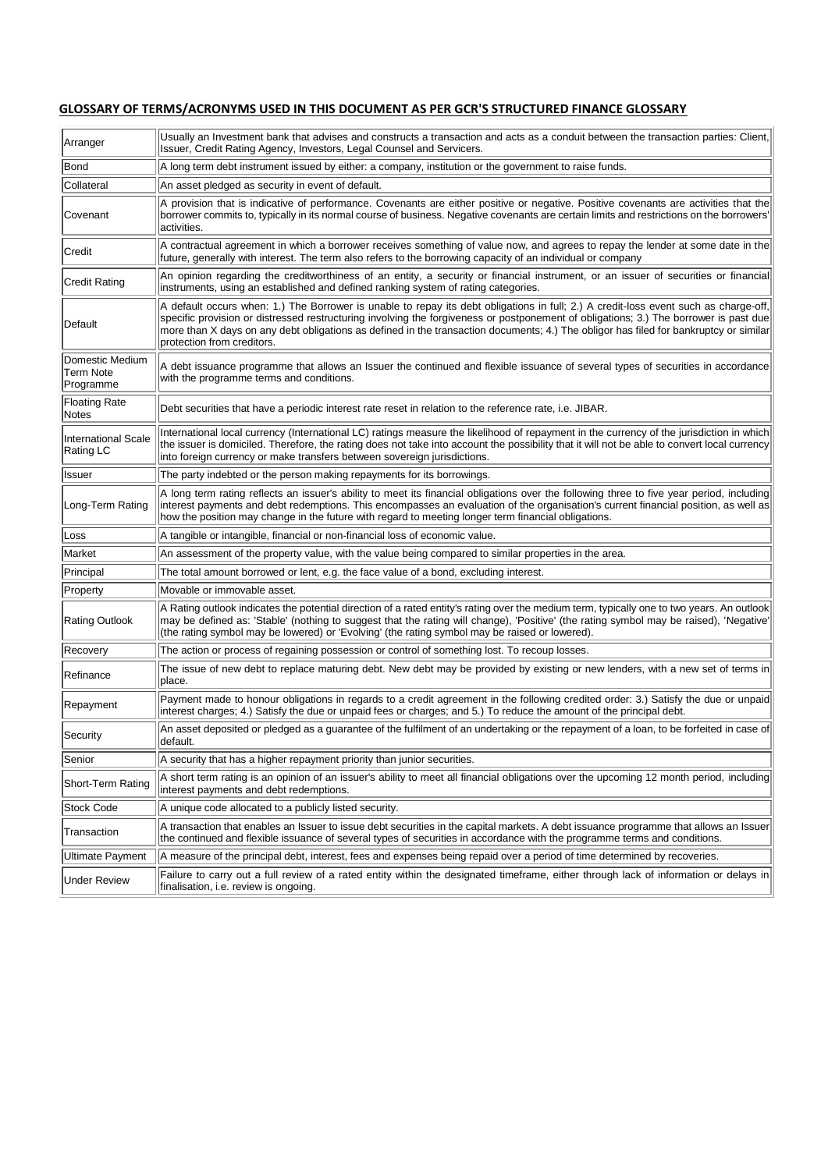# **GLOSSARY OF TERMS/ACRONYMS USED IN THIS DOCUMENT AS PER GCR'S STRUCTURED FINANCE GLOSSARY**

| Arranger                                         | Usually an Investment bank that advises and constructs a transaction and acts as a conduit between the transaction parties: Client,<br>Issuer, Credit Rating Agency, Investors, Legal Counsel and Servicers.                                                                                                                                                                                                                                         |
|--------------------------------------------------|------------------------------------------------------------------------------------------------------------------------------------------------------------------------------------------------------------------------------------------------------------------------------------------------------------------------------------------------------------------------------------------------------------------------------------------------------|
| Bond                                             | A long term debt instrument issued by either: a company, institution or the government to raise funds.                                                                                                                                                                                                                                                                                                                                               |
| Collateral                                       | An asset pledged as security in event of default.                                                                                                                                                                                                                                                                                                                                                                                                    |
| Covenant                                         | A provision that is indicative of performance. Covenants are either positive or negative. Positive covenants are activities that the<br>borrower commits to, typically in its normal course of business. Negative covenants are certain limits and restrictions on the borrowers'<br>activities.                                                                                                                                                     |
| Credit                                           | A contractual agreement in which a borrower receives something of value now, and agrees to repay the lender at some date in the<br>future, generally with interest. The term also refers to the borrowing capacity of an individual or company                                                                                                                                                                                                       |
| Credit Rating                                    | An opinion regarding the creditworthiness of an entity, a security or financial instrument, or an issuer of securities or financial<br>instruments, using an established and defined ranking system of rating categories.                                                                                                                                                                                                                            |
| Default                                          | A default occurs when: 1.) The Borrower is unable to repay its debt obligations in full; 2.) A credit-loss event such as charge-off,<br>specific provision or distressed restructuring involving the forgiveness or postponement of obligations; 3.) The borrower is past due<br>more than X days on any debt obligations as defined in the transaction documents; 4.) The obligor has filed for bankruptcy or similar<br>protection from creditors. |
| Domestic Medium<br><b>Term Note</b><br>Programme | A debt issuance programme that allows an Issuer the continued and flexible issuance of several types of securities in accordance<br>with the programme terms and conditions.                                                                                                                                                                                                                                                                         |
| <b>Floating Rate</b><br>Notes                    | Debt securities that have a periodic interest rate reset in relation to the reference rate, i.e. JIBAR.                                                                                                                                                                                                                                                                                                                                              |
| <b>International Scale</b><br>Rating LC          | International local currency (International LC) ratings measure the likelihood of repayment in the currency of the jurisdiction in which<br>the issuer is domiciled. Therefore, the rating does not take into account the possibility that it will not be able to convert local currency<br>into foreign currency or make transfers between sovereign jurisdictions.                                                                                 |
| Issuer                                           | The party indebted or the person making repayments for its borrowings.                                                                                                                                                                                                                                                                                                                                                                               |
| Long-Term Rating                                 | A long term rating reflects an issuer's ability to meet its financial obligations over the following three to five year period, including<br>interest payments and debt redemptions. This encompasses an evaluation of the organisation's current financial position, as well as<br>how the position may change in the future with regard to meeting longer term financial obligations.                                                              |
| Loss                                             | A tangible or intangible, financial or non-financial loss of economic value.                                                                                                                                                                                                                                                                                                                                                                         |
| Market                                           | An assessment of the property value, with the value being compared to similar properties in the area.                                                                                                                                                                                                                                                                                                                                                |
| Principal                                        | The total amount borrowed or lent, e.g. the face value of a bond, excluding interest.                                                                                                                                                                                                                                                                                                                                                                |
| Property                                         | Movable or immovable asset.                                                                                                                                                                                                                                                                                                                                                                                                                          |
| <b>Rating Outlook</b>                            | A Rating outlook indicates the potential direction of a rated entity's rating over the medium term, typically one to two years. An outlook<br>may be defined as: 'Stable' (nothing to suggest that the rating will change), 'Positive' (the rating symbol may be raised), 'Negative<br>(the rating symbol may be lowered) or 'Evolving' (the rating symbol may be raised or lowered).                                                                |
| Recovery                                         | The action or process of regaining possession or control of something lost. To recoup losses.                                                                                                                                                                                                                                                                                                                                                        |
| Refinance                                        | The issue of new debt to replace maturing debt. New debt may be provided by existing or new lenders, with a new set of terms in<br>place.                                                                                                                                                                                                                                                                                                            |
| Repayment                                        | Payment made to honour obligations in regards to a credit agreement in the following credited order: 3.) Satisfy the due or unpaid<br>interest charges; 4.) Satisfy the due or unpaid fees or charges; and 5.) To reduce the amount of the principal debt.                                                                                                                                                                                           |
| Security                                         | An asset deposited or pledged as a guarantee of the fulfilment of an undertaking or the repayment of a loan, to be forfeited in case of<br>default.                                                                                                                                                                                                                                                                                                  |
| Senior                                           | A security that has a higher repayment priority than junior securities.                                                                                                                                                                                                                                                                                                                                                                              |
| Short-Term Rating                                | A short term rating is an opinion of an issuer's ability to meet all financial obligations over the upcoming 12 month period, including<br>interest payments and debt redemptions.                                                                                                                                                                                                                                                                   |
| Stock Code                                       | A unique code allocated to a publicly listed security.                                                                                                                                                                                                                                                                                                                                                                                               |
| Transaction                                      | A transaction that enables an Issuer to issue debt securities in the capital markets. A debt issuance programme that allows an Issuer<br>the continued and flexible issuance of several types of securities in accordance with the programme terms and conditions.                                                                                                                                                                                   |
| Ultimate Payment                                 | A measure of the principal debt, interest, fees and expenses being repaid over a period of time determined by recoveries.                                                                                                                                                                                                                                                                                                                            |
| <b>Under Review</b>                              | Failure to carry out a full review of a rated entity within the designated timeframe, either through lack of information or delays in<br>finalisation, i.e. review is ongoing.                                                                                                                                                                                                                                                                       |